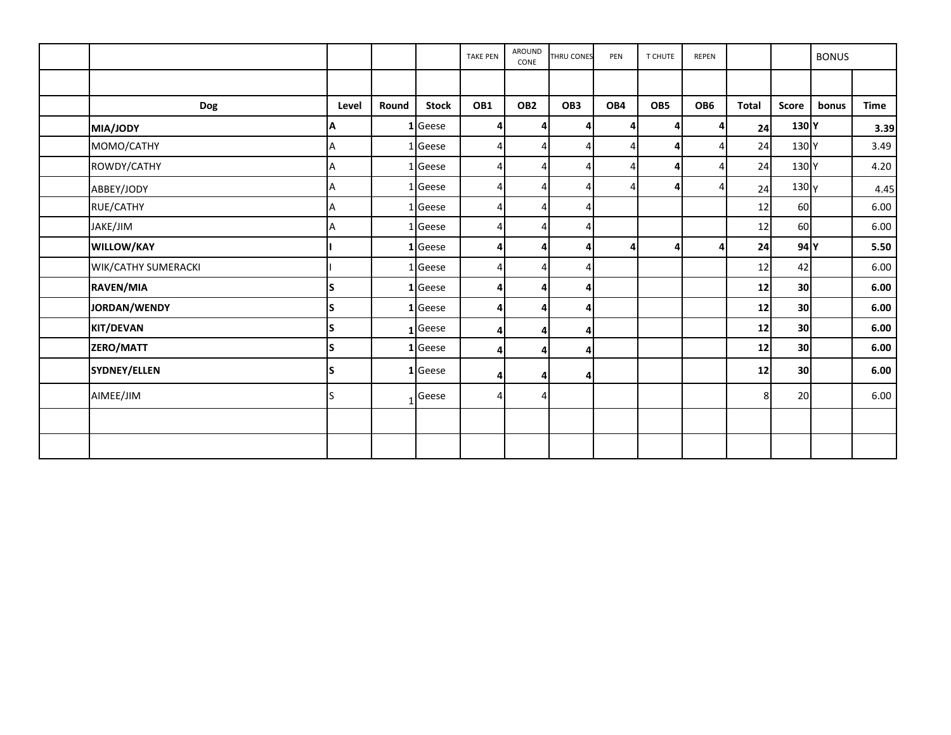|                     |          |       |                | <b>TAKE PEN</b> | AROUND<br>CONE           | <b>THRU CONES</b> | PEN | <b>T CHUTE</b>   | <b>REPEN</b>   |                |                  | <b>BONUS</b> |             |
|---------------------|----------|-------|----------------|-----------------|--------------------------|-------------------|-----|------------------|----------------|----------------|------------------|--------------|-------------|
|                     |          |       |                |                 |                          |                   |     |                  |                |                |                  |              |             |
| <b>Dog</b>          | Level    | Round | <b>Stock</b>   | OB1             | OB <sub>2</sub>          | OB <sub>3</sub>   | OB4 | OB5              | OB6            | <b>Total</b>   | <b>Score</b>     | bonus        | <b>Time</b> |
| <b>MIA/JODY</b>     | A        |       | $1$ Geese      | 4               | $\vert \mathbf{a} \vert$ | 4                 | 4   | $\vert$          | 4 <sup>1</sup> | 24             | 130Y             |              | 3.39        |
| MOMO/CATHY          | Α        |       | 1 Geese        | 4               | 4                        | Δ                 | Δ   | $\overline{4}$   | 4              | 24             | 130 <sup>Y</sup> |              | 3.49        |
| ROWDY/CATHY         | Α        |       | $1$ Geese      | 4               | 41                       | 4                 | 4   | $\vert$          |                | 24             | 130 <sup>Y</sup> |              | 4.20        |
| ABBEY/JODY          | A        |       | 1 Geese        | 4               | 4                        | 4                 | Δ   | $\boldsymbol{4}$ | 41             | 24             | $130\text{y}$    |              | 4.45        |
| RUE/CATHY           | A        |       | 1 Geese        | 4               | 41                       | 4                 |     |                  |                | 12             | 60               |              | 6.00        |
| JAKE/JIM            | A        |       | $1$ Geese      | 4               | 4                        | 4                 |     |                  |                | 12             | 60               |              | 6.00        |
| <b>WILLOW/KAY</b>   |          |       | 1Geese         | 4               | $\vert$                  | 4                 | 4   | $\boldsymbol{4}$ | $\mathbf{A}$   | 24             | $94$ Y           |              | 5.50        |
| WIK/CATHY SUMERACKI |          |       | $1$ Geese      | 4               | $\vert 4 \vert$          | 4                 |     |                  |                | 12             | 42               |              | 6.00        |
| RAVEN/MIA           | S        |       | $1$ Geese      | 4               | $\vert$                  | 4                 |     |                  |                | 12             | 30               |              | 6.00        |
| JORDAN/WENDY        | <b>S</b> |       | $1$ Geese      | 4               | $\vert$                  | 4                 |     |                  |                | 12             | 30 <sub>1</sub>  |              | 6.00        |
| <b>KIT/DEVAN</b>    | ls       |       | Geese          | 4               | $\mathbf{I}$             | Δ                 |     |                  |                | 12             | 30 <sub>1</sub>  |              | 6.00        |
| <b>ZERO/MATT</b>    | ls       |       | <b>1</b> Geese | 4               | $\vert$                  | 4                 |     |                  |                | 12             | 30 <sup>1</sup>  |              | 6.00        |
| SYDNEY/ELLEN        | IS       |       | $1$ Geese      | 4               | $\vert$                  | 4                 |     |                  |                | 12             | 30 <sub>1</sub>  |              | 6.00        |
| AIMEE/JIM           | S.       |       | Geese          | 4               | 41                       |                   |     |                  |                | 8 <sup>1</sup> | 20               |              | 6.00        |
|                     |          |       |                |                 |                          |                   |     |                  |                |                |                  |              |             |
|                     |          |       |                |                 |                          |                   |     |                  |                |                |                  |              |             |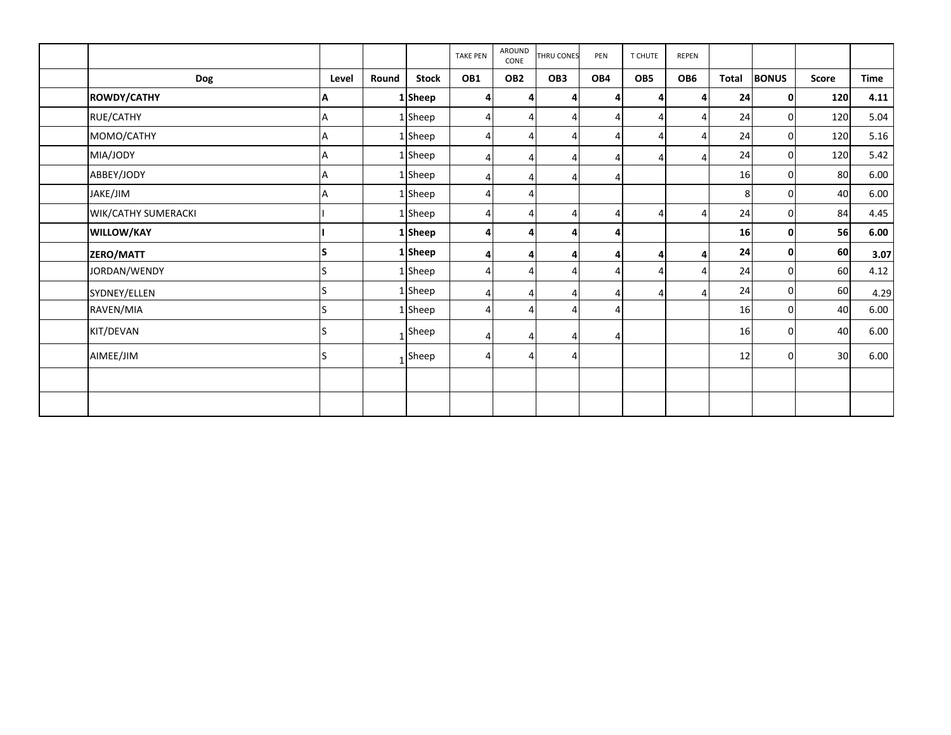|                            |       |       |              | <b>TAKE PEN</b> | AROUND<br>CONE  | THRU CONES | PEN            | <b>T CHUTE</b> | REPEN                 |                |              |              |             |
|----------------------------|-------|-------|--------------|-----------------|-----------------|------------|----------------|----------------|-----------------------|----------------|--------------|--------------|-------------|
| <b>Dog</b>                 | Level | Round | <b>Stock</b> | OB1             | OB <sub>2</sub> | OB3        | OB4            | OB5            | OB6                   | <b>Total</b>   | <b>BONUS</b> | <b>Score</b> | <b>Time</b> |
| <b>ROWDY/CATHY</b>         | A     |       | $1$ Sheep    | 4               | 4               |            | 4              | $\overline{4}$ | 4                     | 24             | Οl           | 120          | 4.11        |
| RUE/CATHY                  | A     |       | $1$ Sheep    |                 | 4               |            | $\overline{4}$ | $\overline{4}$ | $\overline{4}$        | 24             | 0I           | 120          | 5.04        |
| MOMO/CATHY                 | A     |       | 1 Sheep      |                 | 4               |            | 4              | Δ              | $\overline{4}$        | 24             | 0I           | 120          | 5.16        |
| MIA/JODY                   | А     |       | 1 Sheep      |                 | 4               |            | 4              | Δ              | $\overline{4}$        | 24             | 0            | 120          | 5.42        |
| ABBEY/JODY                 | А     |       | 1 Sheep      |                 | 4               |            | 4              |                |                       | 16             | $\Omega$     | 80           | 6.00        |
| JAKE/JIM                   | А     |       | 1 Sheep      |                 | 4               |            |                |                |                       | 8 <sup>1</sup> | $\Omega$     | 40           | 6.00        |
| <b>WIK/CATHY SUMERACKI</b> |       |       | 1 Sheep      |                 | 4               |            | 4              | $\overline{4}$ | 4                     | 24             | $\Omega$     | 84           | 4.45        |
| <b>WILLOW/KAY</b>          |       |       | $1$ Sheep    | 4               | 4               |            | 4              |                |                       | 16             | 0l           | 56           | 6.00        |
| ZERO/MATT                  | S     |       | $1$ Sheep    | Δ               | 4               |            | 4              | 4              | $\overline{a}$        | 24             | 01           | 60           | 3.07        |
| JORDAN/WENDY               |       |       | 1 Sheep      |                 | 4               |            | 4              | 4              | $\boldsymbol{\Delta}$ | 24             | $\Omega$     | 60           | 4.12        |
| SYDNEY/ELLEN               |       |       | 1Sheep       | $\Delta$        | 4               |            | 4              | Λ              | $\overline{4}$        | 24             | $\Omega$     | 60           | 4.29        |
| RAVEN/MIA                  |       |       | 1Sheep       |                 | $\Delta$        |            | 4              |                |                       | 16             | $\Omega$     | 40           | 6.00        |
| KIT/DEVAN                  | S     |       | Sheep        |                 | 4               |            | 4              |                |                       | 16             | 01           | 40           | 6.00        |
| AIMEE/JIM                  |       |       | Sheep        |                 | Δ               |            |                |                |                       | 12             | $\Omega$     | 30           | 6.00        |
|                            |       |       |              |                 |                 |            |                |                |                       |                |              |              |             |
|                            |       |       |              |                 |                 |            |                |                |                       |                |              |              |             |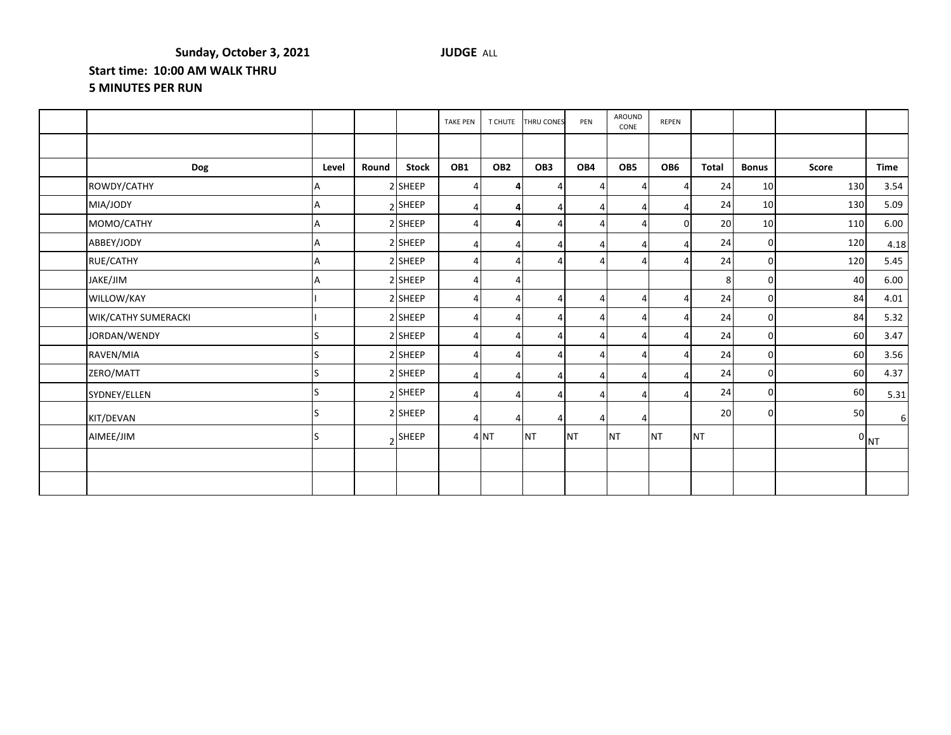## **Sunday, October 3, 2021 JUDGE ALL**

## **Start time: 10:00 AM WALK THRU 5 MINUTES PER RUN**

|                     |       |       |              | <b>TAKE PEN</b>        | T CHUTE         | <b>THRU CONES</b> | PEN       | AROUND<br>CONE  | REPEN          |              |                 |              |                 |
|---------------------|-------|-------|--------------|------------------------|-----------------|-------------------|-----------|-----------------|----------------|--------------|-----------------|--------------|-----------------|
|                     |       |       |              |                        |                 |                   |           |                 |                |              |                 |              |                 |
| <b>Dog</b>          | Level | Round | <b>Stock</b> | OB1                    | OB <sub>2</sub> | OB <sub>3</sub>   | OB4       | OB5             | OB6            | <b>Total</b> | <b>Bonus</b>    | <b>Score</b> | <b>Time</b>     |
| ROWDY/CATHY         | A     |       | 2SHEEP       | 4                      | Δ               |                   | $\vert$   | $\vert$         | $\overline{a}$ | 24           | 10              | 130          | 3.54            |
| MIA/JODY            | А     |       | $2$ SHEEP    | 4                      | 4               |                   | 41        | $\vert$         | 4              | 24           | 10              | 130          | 5.09            |
| MOMO/CATHY          | A     |       | 2SHEEP       | 4                      | Δ               |                   | 4         | $\vert$         | 0              | 20           | 10 <sup>1</sup> | 110          | 6.00            |
| ABBEY/JODY          | A     |       | 2SHEEP       | 4                      | $\prime$        |                   | Δ         | $\vert$         | Δ              | 24           | ΟI              | 120          | 4.18            |
| RUE/CATHY           | А     |       | 2SHEEP       | 4                      |                 |                   | 4         | $\vert$         | Δ              | 24           | ΟI              | 120          | 5.45            |
| JAKE/JIM            | A     |       | 2SHEEP       | 4                      |                 |                   |           |                 |                | 81           | ΩI              | 40           | 6.00            |
| WILLOW/KAY          |       |       | 2SHEEP       | $\boldsymbol{\Lambda}$ |                 |                   | 4         | $\vert$         | 4              | 24           | ΟI              | 84           | 4.01            |
| WIK/CATHY SUMERACKI |       |       | 2SHEEP       | 4                      |                 |                   | 4         | $\vert 4 \vert$ | 4              | 24           | ΟI              | 84           | 5.32            |
| JORDAN/WENDY        | S     |       | 2SHEEP       | 4                      | Δ               |                   | 4         | $\vert 4 \vert$ | 4              | 24           | ΟI              | 60           | 3.47            |
| RAVEN/MIA           | S.    |       | 2SHEEP       | $\boldsymbol{\Lambda}$ |                 |                   | Δ         | $\vert$         | Δ              | 24           | ΟI              | 60           | 3.56            |
| ZERO/MATT           | ς     |       | 2SHEEP       | $\boldsymbol{\Delta}$  |                 |                   | 4         | $\vert$         | $\Delta$       | 24           | ΟI              | 60           | 4.37            |
| SYDNEY/ELLEN        | S.    |       | $2$ SHEEP    | $\boldsymbol{\Lambda}$ |                 |                   | 4         | $\vert$         | Δ              | 24           | ΟI              | 60           | $5.31$          |
| KIT/DEVAN           | ς     |       | 2SHEEP       | $\boldsymbol{\Lambda}$ | Δ               |                   | л         | $\vert$         |                | 20           | ΟI              | 50           | 6 <sup>1</sup>  |
| AIMEE/JIM           | S     |       | $2$ SHEEP    |                        | 4NT             | <b>NT</b>         | <b>NT</b> | <b>NT</b>       | Int            | <b>NT</b>    |                 |              | 0 <sub>NT</sub> |
|                     |       |       |              |                        |                 |                   |           |                 |                |              |                 |              |                 |
|                     |       |       |              |                        |                 |                   |           |                 |                |              |                 |              |                 |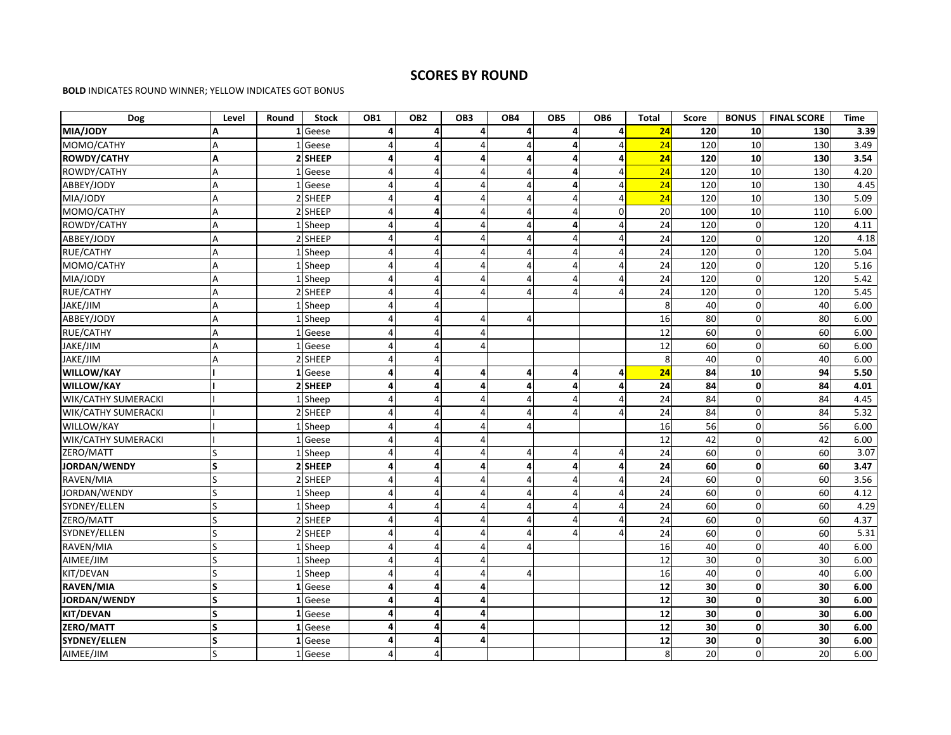## **SCORES BY ROUND**

## **BOLD** INDICATES ROUND WINNER; YELLOW INDICATES GOT BONUS

| <b>Dog</b>                 | Level                   | Round | <b>Stock</b> | OB1                     | OB <sub>2</sub> | OB <sub>3</sub>         | OB4 | OB5 | OB <sub>6</sub> | <b>Total</b>   | <b>Score</b> | <b>BONUS</b>   | <b>FINAL SCORE</b> | <b>Time</b> |
|----------------------------|-------------------------|-------|--------------|-------------------------|-----------------|-------------------------|-----|-----|-----------------|----------------|--------------|----------------|--------------------|-------------|
| <b>MIA/JODY</b>            |                         |       | .Geese       | 4                       |                 | 4                       |     |     |                 | 24             | 120          | 10             | 130                | 3.39        |
| MOMO/CATHY                 | Α                       |       | Geese        | 4                       |                 | 4                       |     |     |                 | 24             | 120          | 10             | 130                | 3.49        |
| <b>ROWDY/CATHY</b>         | Α                       |       | <b>SHEEP</b> | 4                       |                 | 4                       | Δ   |     |                 | 24             | 120          | 10             | 130                | 3.54        |
| ROWDY/CATHY                | $\Lambda$               |       | Geese        | 4                       |                 | 4                       |     |     |                 | 24             | 120          | 10             | 130                | 4.20        |
| ABBEY/JODY                 | A                       |       | Geese        | Δ                       |                 | 4                       |     |     |                 | 24             | 120          | 10             | 130                | 4.45        |
| MIA/JODY                   | A                       |       | SHEEP        | 4                       | 4               | 4                       |     |     |                 | 24             | 120          | 10             | 130                | 5.09        |
| MOMO/CATHY                 | A                       |       | SHEEP        | 4                       | 4               | 4                       |     |     | 0               | 20             | 100          | 10             | 110                | 6.00        |
| ROWDY/CATHY                | Α                       |       | Sheep        | 4                       |                 | 4                       |     |     |                 | 24             | 120          | $\mathbf 0$    | 120                | 4.11        |
| ABBEY/JODY                 | A                       |       | 2SHEEP       | 4                       |                 | $\overline{\mathbf{4}}$ |     |     |                 | 24             | 120          | 0              | 120                | 4.18        |
| <b>RUE/CATHY</b>           | Α                       |       | Sheep        | Δ                       |                 | 4                       |     |     |                 | 24             | 120          | $\mathbf 0$    | 120                | 5.04        |
| MOMO/CATHY                 | Α                       |       | Sheep        | 4                       |                 | 4                       |     |     |                 | 24             | 120          | $\mathbf 0$    | 120                | 5.16        |
| MIA/JODY                   | Α                       |       | Sheep        | 4                       |                 | 4                       | Δ   |     |                 | 24             | 120          | $\Omega$       | 120                | 5.42        |
| RUE/CATHY                  | A                       |       | 2SHEEP       | 4                       |                 | 4                       | Δ   |     |                 | 24             | 120          | $\mathbf 0$    | 120                | 5.45        |
| JAKE/JIM                   | Α                       |       | Sheep        | Δ                       |                 |                         |     |     |                 | 8              | 40           | 0              | 40                 | 6.00        |
| ABBEY/JODY                 | Α                       |       | Sheep        | 4                       |                 | 4                       |     |     |                 | 16             | 80           | $\Omega$       | 80                 | 6.00        |
| RUE/CATHY                  | A                       |       | Geese        | 4                       |                 | 4                       |     |     |                 | 12             | 60           | $\mathbf 0$    | 60                 | 6.00        |
| JAKE/JIM                   | A                       |       | Geese        | Δ                       |                 | 4                       |     |     |                 | 12             | 60           | 0              | 60                 | 6.00        |
| JAKE/JIM                   | Α                       |       | SHEEP        | 4                       |                 |                         |     |     |                 | 8 <sup>1</sup> | 40           | $\mathbf 0$    | 40                 | 6.00        |
| <b>WILLOW/KAY</b>          |                         |       | Geese        | 4                       | Δ               | 4                       | Δ   |     | Δ               | 24             | 84           | 10             | 94                 | 5.50        |
| <b>WILLOW/KAY</b>          |                         |       | SHEEP        | 4                       |                 | 4                       |     |     |                 | 24             | 84           | $\mathbf 0$    | 84                 | 4.01        |
| <b>WIK/CATHY SUMERACKI</b> |                         |       | Sheep        | 4                       |                 | $\overline{\mathbf{4}}$ |     |     |                 | 24             | 84           | $\mathbf 0$    | 84                 | 4.45        |
| <b>WIK/CATHY SUMERACKI</b> |                         |       | 2SHEEP       | $\overline{a}$          |                 | 4                       |     |     |                 | 24             | 84           | $\mathbf 0$    | 84                 | 5.32        |
| WILLOW/KAY                 |                         |       | Sheep        | Δ                       |                 | 4                       |     |     |                 | 16             | 56           | 0              | 56                 | 6.00        |
| <b>WIK/CATHY SUMERACKI</b> |                         |       | Geese        | Δ                       |                 | 4                       |     |     |                 | 12             | 42           | $\Omega$       | 42                 | 6.00        |
| ZERO/MATT                  | S                       |       | 1Sheep       | 4                       |                 | 4                       |     |     |                 | 24             | 60           | $\mathbf 0$    | 60                 | 3.07        |
| JORDAN/WENDY               | S                       |       | 2SHEEP       | 4                       |                 | 4                       |     |     |                 | 24             | 60           | $\mathbf 0$    | 60                 | 3.47        |
| RAVEN/MIA                  |                         |       | <b>SHEEP</b> | 4                       |                 | 4                       |     |     |                 | 24             | 60           | $\Omega$       | 60                 | 3.56        |
| JORDAN/WENDY               | S                       |       | Sheep        | 4                       |                 | 4                       |     |     |                 | 24             | 60           | $\mathbf 0$    | 60                 | 4.12        |
| SYDNEY/ELLEN               | $\overline{\mathsf{S}}$ |       | Sheep        | Δ                       |                 | 4                       | Δ   |     |                 | 24             | 60           | $\Omega$       | 60                 | 4.29        |
| ZERO/MATT                  |                         |       | 2SHEEP       | 4                       |                 | $\vert 4 \vert$         | 4   |     |                 | 24             | 60           | $\Omega$       | 60                 | 4.37        |
| SYDNEY/ELLEN               | S                       |       | 2SHEEP       | $\overline{\mathbf{4}}$ | 4               | $\vert 4 \vert$         | 4   | 4   | $\overline{4}$  | 24             | 60           | $\pmb{0}$      | 60                 | 5.31        |
| RAVEN/MIA                  | S                       |       | Sheep        | 4                       |                 | 4                       |     |     |                 | 16             | 40           | 0              | 40                 | 6.00        |
| AIMEE/JIM                  |                         |       | LSheep       | 4                       |                 | 4                       |     |     |                 | 12             | 30           | 0              | 30                 | 6.00        |
| KIT/DEVAN                  | S                       |       | 1Sheep       | 4                       |                 | 4                       | Δ   |     |                 | 16             | 40           | $\mathbf 0$    | 40                 | 6.00        |
| <b>RAVEN/MIA</b>           | S                       |       | $1$ Geese    | 4                       | 4               | 4                       |     |     |                 | 12             | 30           | $\mathbf 0$    | 30 <sub>l</sub>    | 6.00        |
| JORDAN/WENDY               | S                       |       | Geese        | Δ                       |                 | 4                       |     |     |                 | 12             | 30           | 0              | 30                 | 6.00        |
| KIT/DEVAN                  | S                       |       | $1$ Geese    | 4                       |                 | 4                       |     |     |                 | 12             | 30           | 0              | 30                 | 6.00        |
| ZERO/MATT                  | S                       |       | Geese        | 4                       |                 | 4                       |     |     |                 | 12             | 30           | $\mathbf 0$    | 30                 | 6.00        |
| SYDNEY/ELLEN               | ${\sf s}$               |       | Geese        | $\overline{\mathbf{4}}$ | 4               | 4                       |     |     |                 | 12             | 30           | $\bf{0}$       | 30                 | 6.00        |
| AIMEE/JIM                  | S                       |       | 1 Geese      | $\pmb{4}$               | $\overline{4}$  |                         |     |     |                 | 8              | 20           | $\overline{0}$ | 20                 | 6.00        |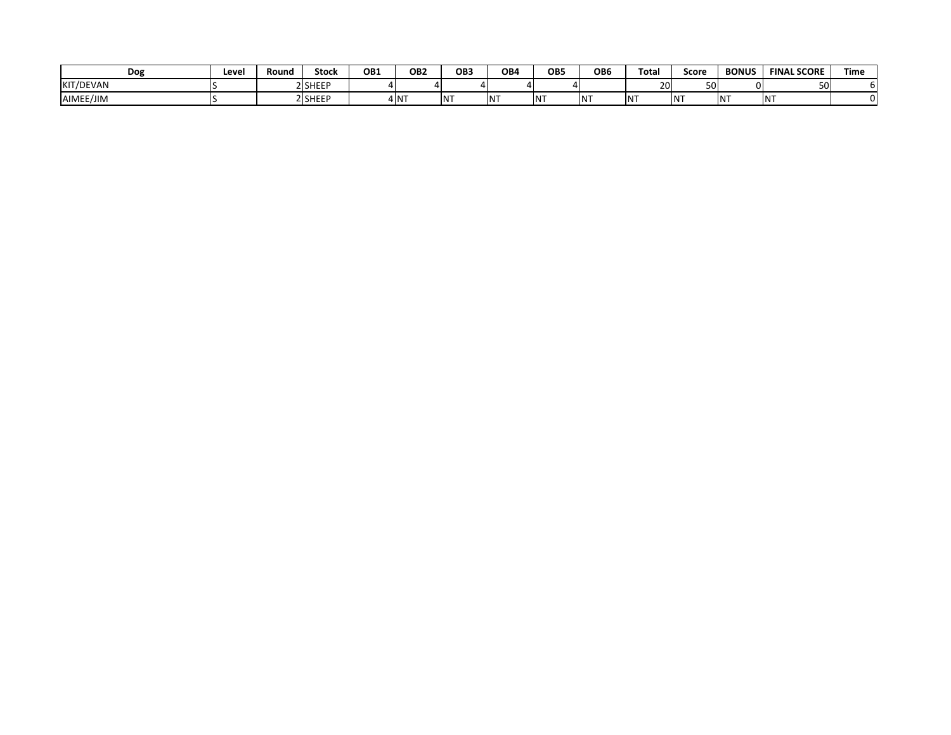| Dog       | Level | Round | Stock   | OB1 | OB <sub>2</sub> | OB <sub>3</sub> | OB <sub>4</sub> | OB <sub>5</sub> | OB <sub>6</sub> | <b>Total</b> | Score | <b>BONUS</b> | <b>FINAL SCORE</b> | <b>Time</b> |
|-----------|-------|-------|---------|-----|-----------------|-----------------|-----------------|-----------------|-----------------|--------------|-------|--------------|--------------------|-------------|
| KIT/DEVAN |       |       | 2 SHEEP |     |                 |                 |                 |                 |                 | 20           | JU    |              | 50                 | וס          |
| AIMEE/JIM |       |       | 2 SHEEP |     | 4 <sub>NT</sub> |                 | IN.             | INT             | 5.17            | IN.          | INT   | 5.17<br>IN.  | <b>INT</b>         |             |